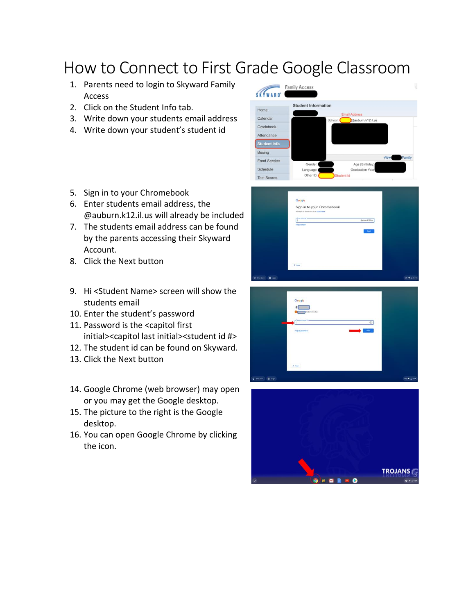## How to Connect to First Grade Google Classroom

- 1. Parents need to login to Skyward Family Access
- 2. Click on the Student Info tab.
- 3. Write down your students email address
- 4. Write down your student's student id
- 5. Sign in to your Chromebook
- 6. Enter students email address, the @auburn.k12.il.us will already be included
- 7. The students email address can be found by the parents accessing their Skyward Account.
- 8. Click the Next button
- 9. Hi <Student Name> screen will show the students email
- 10. Enter the student's password
- 11. Password is the <capitol first initial><capitol last initial><student id #>
- 12. The student id can be found on Skyward.
- 13. Click the Next button
- 14. Google Chrome (web browser) may open or you may get the Google desktop.
- 15. The picture to the right is the Google desktop.
- 16. You can open Google Chrome by clicking the icon.